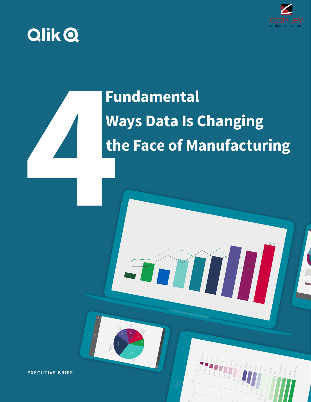

Fresh Vegetables Hot Dogs

6.13M 12.26M

Frozen Vegetables Sugar Bologna Preserves Cheese Deli Meats

1.94M 1.69M

Pizza

Sardines

Ice CreamCereal

901.81k

Shrimp628.78k

Chicken Wings

596.21k

1.59M

1.32M 1.3M

# **QlikQ**

# **Fundamental Ways Data Is Changing the Face of Manufacturing**

**EXECUTIVE BRIEF**

Churn

8-14 days

22.66%

days

days

days

7.19% 16.31% 18.31% 20.41%

Over a month old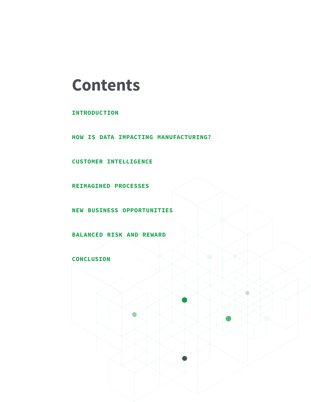# **Contents**

**INTRODUCTION**

**HOW IS DATA IMPACTING MANUFACTURING?**

**CUSTOMER INTELLIGENCE**

**REIMAGINED PROCESSES**

**NEW BUSINESS OPPORTUNITIES**

**BALANCED RISK AND REWARD**

**CONCLUSION**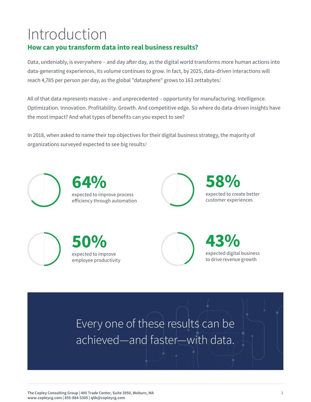# Introduction

# **How can you transform data into real business results?**

Data, undeniably, is everywhere – and day after day, as the digital world transforms more human actions into data-generating experiences, its volume continues to grow. In fact, by 2025, data-driven interactions will reach 4,785 per person per day, as the global "datasphere" grows to 163 zettabytes!

All of that data represents massive – and unprecedented – opportunity for manufacturing. Intelligence. Optimization. Innovation. Profitability. Growth. And competitive edge. So where do data-driven insights have the most impact? And what types of benefits can you expect to see?

In 2018, when asked to name their top objectives for their digital business strategy, the majority of organizations surveyed expected to see big results?



Every one of these results can be achieved—and faster—with data.

**The Copley Consulting Group | 400 Trade Center, Suite 3950, Woburn, MA www.copleycg.com | 855-884-5305 | qlik@copleycg.com**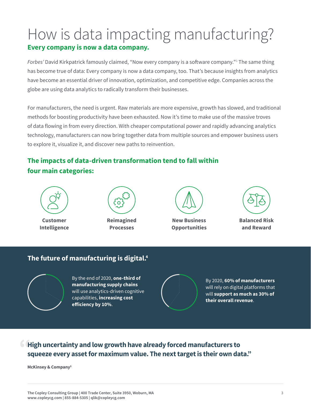# How is data impacting manufacturing? **Every company is now a data company.**

*Forbes'* David Kirkpatrick famously claimed, "Now every company is a software company."3 The same thing has become true of data: Every company is now a data company, too. That's because insights from analytics have become an essential driver of innovation, optimization, and competitive edge. Companies across the globe are using data analytics to radically transform their businesses.

For manufacturers, the need is urgent. Raw materials are more expensive, growth has slowed, and traditional methods for boosting productivity have been exhausted. Now it's time to make use of the massive troves of data flowing in from every direction. With cheaper computational power and rapidly advancing analytics technology, manufacturers can now bring together data from multiple sources and empower business users to explore it, visualize it, and discover new paths to reinvention.

## **The impacts of data-driven transformation tend to fall within four main categories:**



**Customer Intelligence**



**Reimagined Processes**



**New Business Opportunities**



**Balanced Risk and Reward**

### **The future of manufacturing is digital.4**



By the end of 2020, **one-third of manufacturing supply chains** will use analytics-driven cognitive capabilities, **increasing cost efficiency by 10%**.



By 2020, **60% of manufacturers** will rely on digital platforms that will **support as much as 30% of their overall revenue**.

### **High uncertainty and low growth have already forced manufacturers to squeeze every asset for maximum value. The next target is their own data."**

**McKinsey & Company5**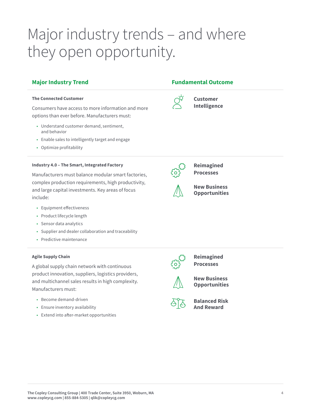# Major industry trends – and where they open opportunity.

#### **The Connected Customer**

Consumers have access to more information and more options than ever before. Manufacturers must:

- Understand customer demand, sentiment, and behavior
- Enable sales to intelligently target and engage
- Optimize profitability

#### **Industry 4.0 – The Smart, Integrated Factory**

Manufacturers must balance modular smart factories, complex production requirements, high productivity, and large capital investments. Key areas of focus include:

- Equipment effectiveness
- Product lifecycle length
- Sensor data analytics
- Supplier and dealer collaboration and traceability
- Predictive maintenance

#### **Agile Supply Chain**

A global supply chain network with continuous product innovation, suppliers, logistics providers, and multichannel sales results in high complexity. Manufacturers must:

- Become demand-driven
- Ensure inventory availability
- Extend into after-market opportunities

### **Major Industry Trend Fundamental Outcome**

**Customer Intelligence**



**Reimagined Processes**



**New Business Opportunities**



**Reimagined Processes**



**New Business Opportunities**



**Balanced Risk And Reward**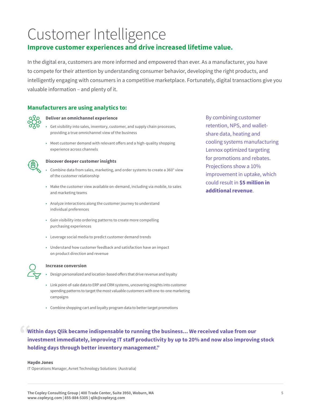# Customer Intelligence

### **Improve customer experiences and drive increased lifetime value.**

In the digital era, customers are more informed and empowered than ever. As a manufacturer, you have to compete for their attention by understanding consumer behavior, developing the right products, and intelligently engaging with consumers in a competitive marketplace. Fortunately, digital transactions give you valuable information – and plenty of it.

### **Manufacturers are using analytics to:**



#### **Deliver an omnichannel experience**

- Get visibility into sales, inventory, customer, and supply chain processes, providing a true omnichannel view of the business
- Meet customer demand with relevant offers and a high-quality shopping experience across channels



#### **Discover deeper customer insights**

- Combine data from sales, marketing, and order systems to create a 360° view of the customer relationship
- Make the customer view available on-demand, including via mobile, to sales and marketing teams
- Analyze interactions along the customer journey to understand individual preferences
- Gain visibility into ordering patterns to create more compelling purchasing experiences
- Leverage social media to predict customer demand trends
- Understand how customer feedback and satisfaction have an impact on product direction and revenue



#### **Increase conversion**

- Design personalized and location-based offers that drive revenue and loyalty
- Link point-of-sale data to ERP and CRM systems, uncovering insights into customer spending patterns to target the most valuable customers with one-to-one marketing campaigns
- Combine shopping cart and loyalty program data to better target promotions

**Within days Qlik became indispensable to running the business... We received value from our investment immediately, improving IT staff productivity by up to 20% and now also improving stock holding days through better inventory management."**

#### **Haydn Jones**

IT Operations Manager, Avnet Technology Solutions (Australia)

By combining customer retention, NPS, and walletshare data, heating and cooling systems manufacturing Lennox optimized targeting for promotions and rebates. Projections show a 10% improvement in uptake, which could result in **\$5 million in additional revenue**.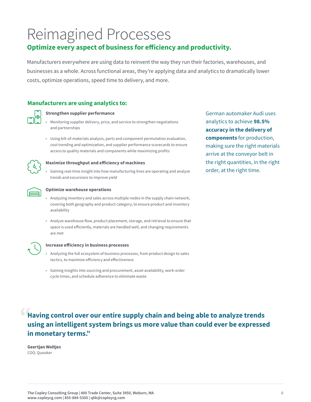# Reimagined Processes

## **Optimize every aspect of business for efficiency and productivity.**

Manufacturers everywhere are using data to reinvent the way they run their factories, warehouses, and businesses as a whole. Across functional areas, they're applying data and analytics to dramatically lower costs, optimize operations, speed time to delivery, and more.

### **Manufacturers are using analytics to:**



#### **Strengthen supplier performance**

- Monitoring supplier delivery, price, and service to strengthen negotiations and partnerships
- Using bill-of-materials analysis, parts and component permutation evaluation, cost trending and optimization, and supplier performance scorecards to ensure access to quality materials and components while maximizing profits



#### **Maximize throughput and efficiency of machines**

• Gaining real-time insight into how manufacturing lines are operating and analyze trends and excursions to improve yield



#### **Optimize warehouse operations**

- Analyzing inventory and sales across multiple nodes in the supply chain network, covering both geography and product category, to ensure product and inventory availability
- Analyze warehouse flow, product placement, storage, and retrieval to ensure that space is used efficiently, materials are handled well, and changing requirements are met



#### **Increase efficiency in business processes**

- Analyzing the full ecosystem of business processes, from product design to sales tactics, to maximize efficiency and effectiveness
- Gaining insights into sourcing and procurement, asset availability, work-order cycle times, and schedule adherence to eliminate waste

German automaker Audi uses analytics to achieve **98.5% accuracy in the delivery of components** for production, making sure the right materials arrive at the conveyor belt in the right quantities, in the right order, at the right time.

## **Having control over our entire supply chain and being able to analyze trends using an intelligent system brings us more value than could ever be expressed in monetary terms."**

**Geertjan Woltjes** COO, Quooker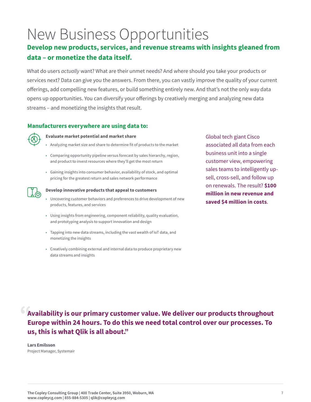# New Business Opportunities

## **Develop new products, services, and revenue streams with insights gleaned from data – or monetize the data itself.**

What do users *actually* want? What are their unmet needs? And where should you take your products or services next? Data can give you the answers. From there, you can vastly improve the quality of your current offerings, add compelling new features, or build something entirely new. And that's not the only way data opens up opportunities. You can diversify your offerings by creatively merging and analyzing new data streams – and monetizing the insights that result.

### **Manufacturers everywhere are using data to:**



#### **Evaluate market potential and market share**

- Analyzing market size and share to determine fit of products to the market
- Comparing opportunity pipeline versus forecast by sales hierarchy, region, and product to invest resources where they'll get the most return
- Gaining insights into consumer behavior, availability of stock, and optimal pricing for the greatest return and sales network performance



#### **Develop innovative products that appeal to customers**

- Uncovering customer behaviors and preferences to drive development of new products, features, and services
- Using insights from engineering, component reliability, quality evaluation, and prototyping analysis to support innovation and design
- Tapping into new data streams, including the vast wealth of IoT data, and monetizing the insights
- Creatively combining external and internal data to produce proprietary new data streams and insights

Global tech giant Cisco associated all data from each business unit into a single customer view, empowering sales teams to intelligently upsell, cross-sell, and follow up on renewals. The result? **\$100 million in new revenue and saved \$4 million in costs**.

**Availability is our primary customer value. We deliver our products throughout Europe within 24 hours. To do this we need total control over our processes. To us, this is what Qlik is all about."**

**Lars Emilsson** Project Manager, Systemair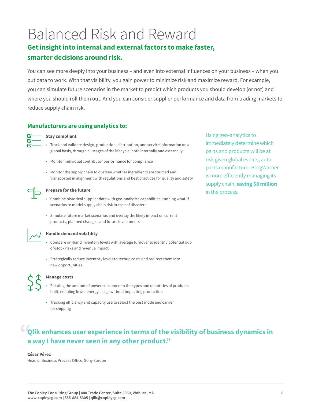# Balanced Risk and Reward **Get insight into internal and external factors to make faster,**

# **smarter decisions around risk.**

You can see more deeply into your business – and even into external influences on your business – when you put data to work. With that visibility, you gain power to minimize risk and maximize reward. For example, you can simulate future scenarios in the market to predict which products you should develop (or not) and where you should roll them out. And you can consider supplier performance and data from trading markets to reduce supply chain risk.

### **Manufacturers are using analytics to:**



#### **Stay compliant**

- Track and validate design, production, distribution, and service information on a global basis, through all stages of the lifecycle, both internally and externally
- Monitor individual contributor performance for compliance
- Monitor the supply chain to oversee whether ingredients are sourced and transported in alignment with regulations and best practices for quality and safety



#### **Prepare for the future**

- Combine historical supplier data with geo-analytics capabilities, running what-if scenarios to model supply chain risk in case of disasters
- Simulate future market scenarios and overlay the likely impact on current products, planned changes, and future investments



#### **Handle demand volatility**

- Compare on-hand inventory levels with average turnover to identify potential outof-stock risks and revenue impact
- Strategically reduce inventory levels to recoup costs and redirect them into new opportunities



#### **Manage costs**

- Relating the amount of power consumed to the types and quantities of products built, enabling lower energy usage without impacting production
- Tracking efficiency and capacity use to select the best mode and carrier for shipping

# **Qlik enhances user experience in terms of the visibility of business dynamics in a way I have never seen in any other product."**

#### **César Pérez**

Head of Business Process Office, Sony Europe

Using geo-analytics to immediately determine which parts and products will be at risk given global events, auto parts manufacturer BorgWarner is more efficiently managing its supply chain, **saving \$8 million** in the process.